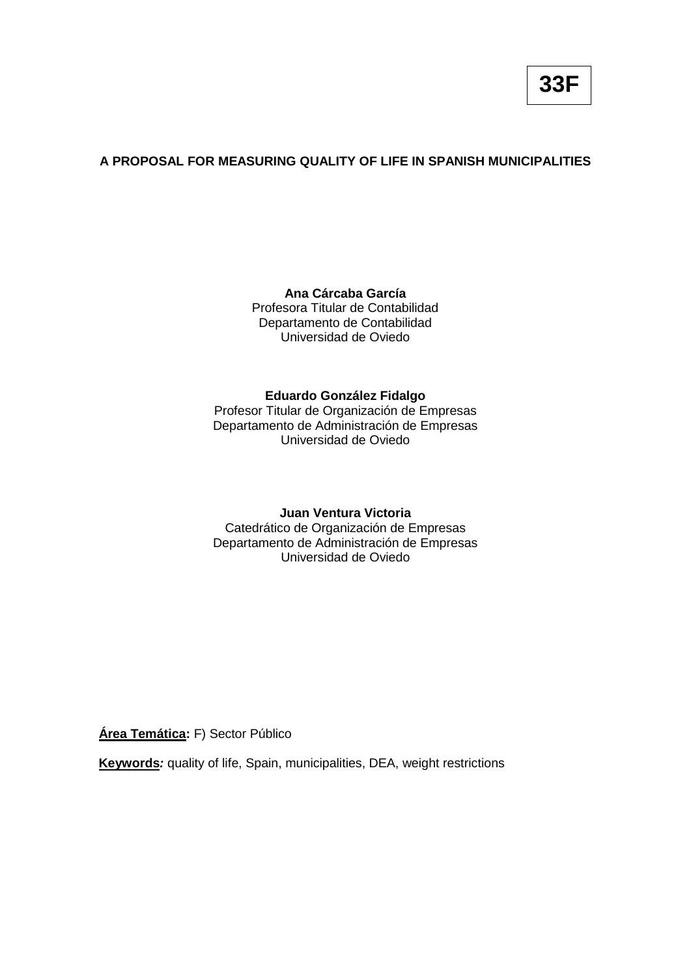# **A PROPOSAL FOR MEASURING QUALITY OF LIFE IN SPANISH MUNICIPALITIES**

## **Ana Cárcaba García**

Profesora Titular de Contabilidad Departamento de Contabilidad Universidad de Oviedo

## **Eduardo González Fidalgo**

Profesor Titular de Organización de Empresas Departamento de Administración de Empresas Universidad de Oviedo

## **Juan Ventura Victoria**

Catedrático de Organización de Empresas Departamento de Administración de Empresas Universidad de Oviedo

**Área Temática:** F) Sector Público

**Keywords***:* quality of life, Spain, municipalities, DEA, weight restrictions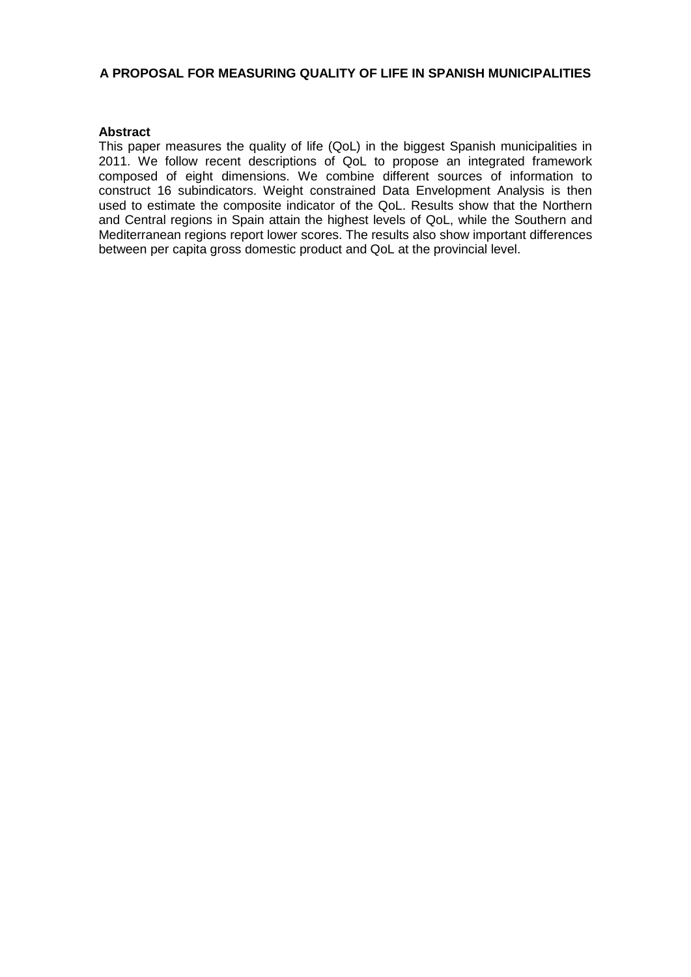## **A PROPOSAL FOR MEASURING QUALITY OF LIFE IN SPANISH MUNICIPALITIES**

## **Abstract**

This paper measures the quality of life (QoL) in the biggest Spanish municipalities in 2011. We follow recent descriptions of QoL to propose an integrated framework composed of eight dimensions. We combine different sources of information to construct 16 subindicators. Weight constrained Data Envelopment Analysis is then used to estimate the composite indicator of the QoL. Results show that the Northern and Central regions in Spain attain the highest levels of QoL, while the Southern and Mediterranean regions report lower scores. The results also show important differences between per capita gross domestic product and QoL at the provincial level.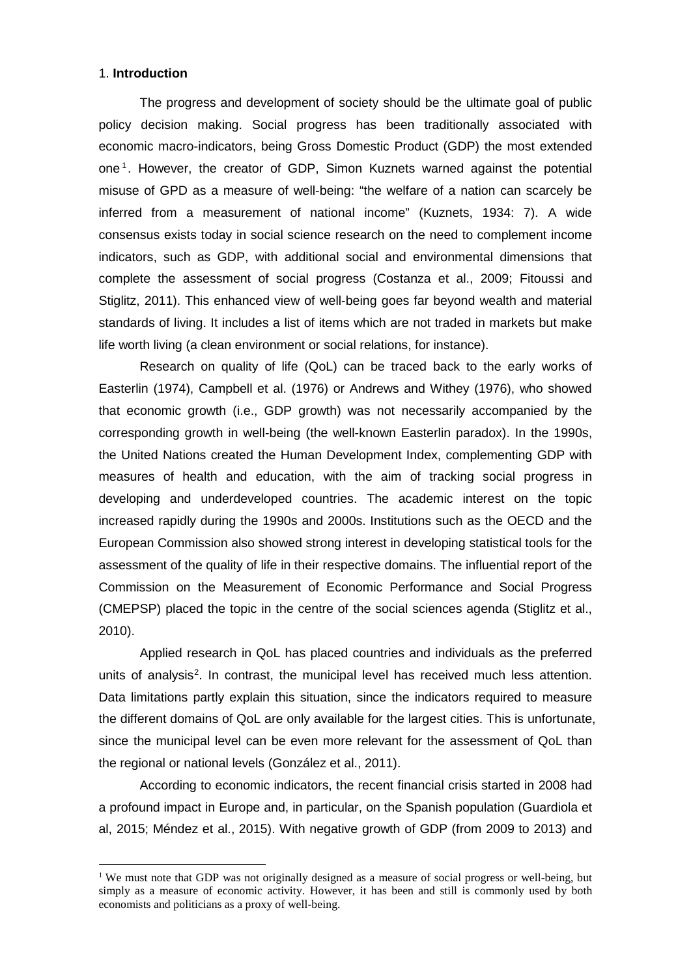## 1. **Introduction**

The progress and development of society should be the ultimate goal of public policy decision making. Social progress has been traditionally associated with economic macro-indicators, being Gross Domestic Product (GDP) the most extended one [1](#page-2-0) . However, the creator of GDP, Simon Kuznets warned against the potential misuse of GPD as a measure of well-being: "the welfare of a nation can scarcely be inferred from a measurement of national income" (Kuznets, 1934: 7). A wide consensus exists today in social science research on the need to complement income indicators, such as GDP, with additional social and environmental dimensions that complete the assessment of social progress (Costanza et al., 2009; Fitoussi and Stiglitz, 2011). This enhanced view of well-being goes far beyond wealth and material standards of living. It includes a list of items which are not traded in markets but make life worth living (a clean environment or social relations, for instance).

Research on quality of life (QoL) can be traced back to the early works of Easterlin (1974), Campbell et al. (1976) or Andrews and Withey (1976), who showed that economic growth (i.e., GDP growth) was not necessarily accompanied by the corresponding growth in well-being (the well-known Easterlin paradox). In the 1990s, the United Nations created the Human Development Index, complementing GDP with measures of health and education, with the aim of tracking social progress in developing and underdeveloped countries. The academic interest on the topic increased rapidly during the 1990s and 2000s. Institutions such as the OECD and the European Commission also showed strong interest in developing statistical tools for the assessment of the quality of life in their respective domains. The influential report of the Commission on the Measurement of Economic Performance and Social Progress (CMEPSP) placed the topic in the centre of the social sciences agenda (Stiglitz et al., 2010).

Applied research in QoL has placed countries and individuals as the preferred units of analysis<sup>[2](#page-2-1)</sup>. In contrast, the municipal level has received much less attention. Data limitations partly explain this situation, since the indicators required to measure the different domains of QoL are only available for the largest cities. This is unfortunate, since the municipal level can be even more relevant for the assessment of QoL than the regional or national levels (González et al., 2011).

According to economic indicators, the recent financial crisis started in 2008 had a profound impact in Europe and, in particular, on the Spanish population (Guardiola et al, 2015; Méndez et al., 2015). With negative growth of GDP (from 2009 to 2013) and

<span id="page-2-1"></span><span id="page-2-0"></span><sup>&</sup>lt;sup>1</sup> We must note that GDP was not originally designed as a measure of social progress or well-being, but simply as a measure of economic activity. However, it has been and still is commonly used by both economists and politicians as a proxy of well-being.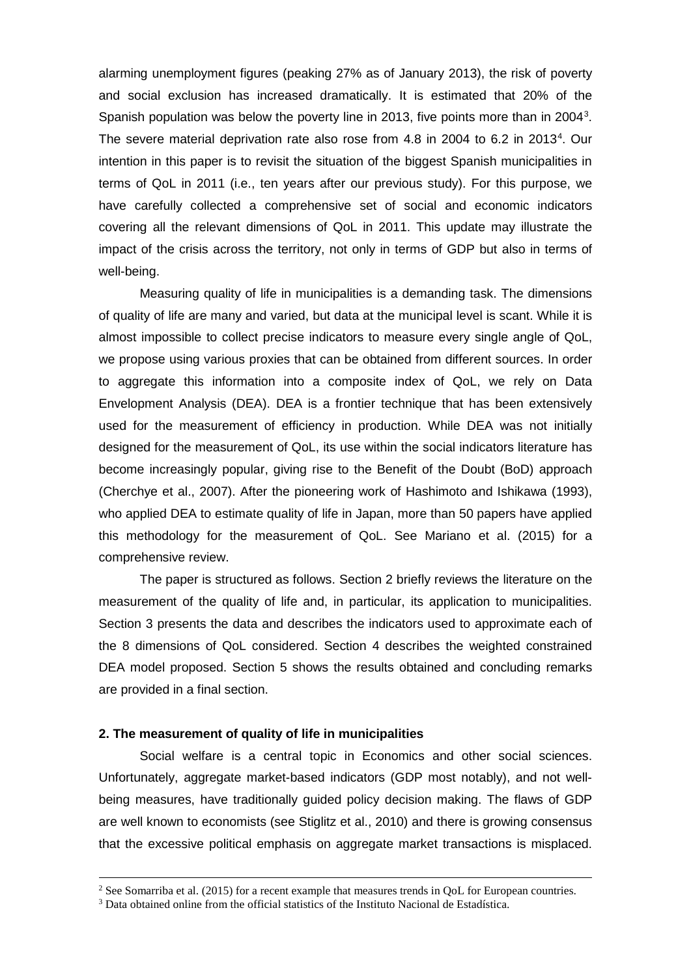alarming unemployment figures (peaking 27% as of January 2013), the risk of poverty and social exclusion has increased dramatically. It is estimated that 20% of the Spanish population was below the poverty line in 201[3](#page-3-0), five points more than in 2004<sup>3</sup>. The severe material deprivation rate also rose from [4](#page-3-0).8 in 2004 to 6.2 in 2013<sup>4</sup>. Our intention in this paper is to revisit the situation of the biggest Spanish municipalities in terms of QoL in 2011 (i.e., ten years after our previous study). For this purpose, we have carefully collected a comprehensive set of social and economic indicators covering all the relevant dimensions of QoL in 2011. This update may illustrate the impact of the crisis across the territory, not only in terms of GDP but also in terms of well-being.

Measuring quality of life in municipalities is a demanding task. The dimensions of quality of life are many and varied, but data at the municipal level is scant. While it is almost impossible to collect precise indicators to measure every single angle of QoL, we propose using various proxies that can be obtained from different sources. In order to aggregate this information into a composite index of QoL, we rely on Data Envelopment Analysis (DEA). DEA is a frontier technique that has been extensively used for the measurement of efficiency in production. While DEA was not initially designed for the measurement of QoL, its use within the social indicators literature has become increasingly popular, giving rise to the Benefit of the Doubt (BoD) approach (Cherchye et al., 2007). After the pioneering work of Hashimoto and Ishikawa (1993), who applied DEA to estimate quality of life in Japan, more than 50 papers have applied this methodology for the measurement of QoL. See Mariano et al. (2015) for a comprehensive review.

The paper is structured as follows. Section 2 briefly reviews the literature on the measurement of the quality of life and, in particular, its application to municipalities. Section 3 presents the data and describes the indicators used to approximate each of the 8 dimensions of QoL considered. Section 4 describes the weighted constrained DEA model proposed. Section 5 shows the results obtained and concluding remarks are provided in a final section.

## **2. The measurement of quality of life in municipalities**

Social welfare is a central topic in Economics and other social sciences. Unfortunately, aggregate market-based indicators (GDP most notably), and not wellbeing measures, have traditionally guided policy decision making. The flaws of GDP are well known to economists (see Stiglitz et al., 2010) and there is growing consensus that the excessive political emphasis on aggregate market transactions is misplaced.

<sup>&</sup>lt;sup>2</sup> See Somarriba et al. (2015) for a recent example that measures trends in QoL for European countries.  $3$  Data obtained online from the official statistics of the Instituto Nacional de Estadística.

<span id="page-3-0"></span>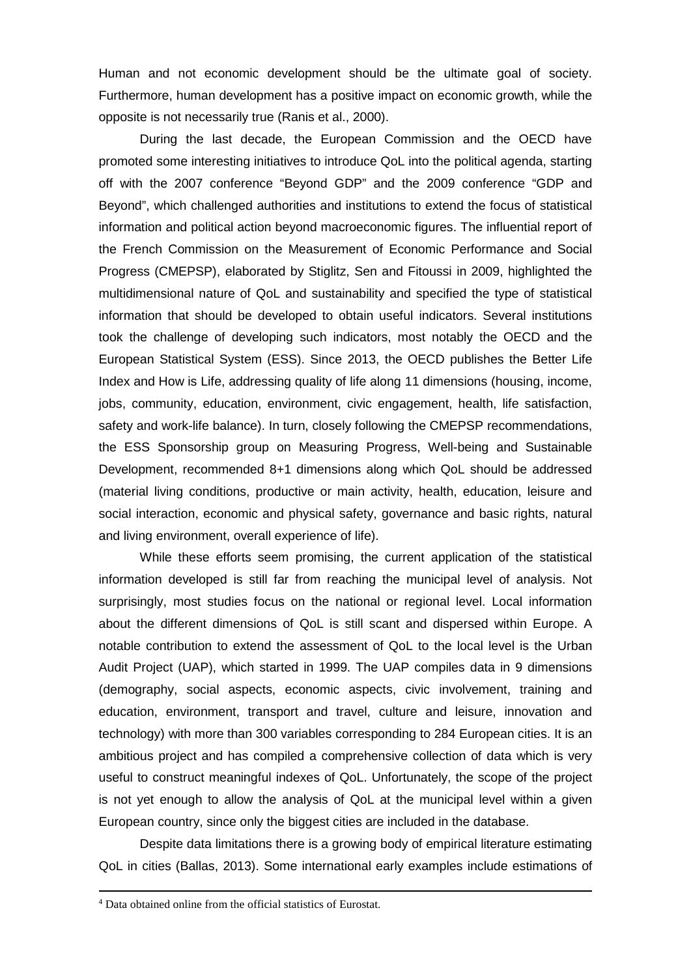Human and not economic development should be the ultimate goal of society. Furthermore, human development has a positive impact on economic growth, while the opposite is not necessarily true (Ranis et al., 2000).

During the last decade, the European Commission and the OECD have promoted some interesting initiatives to introduce QoL into the political agenda, starting off with the 2007 conference "Beyond GDP" and the 2009 conference "GDP and Beyond", which challenged authorities and institutions to extend the focus of statistical information and political action beyond macroeconomic figures. The influential report of the French Commission on the Measurement of Economic Performance and Social Progress (CMEPSP), elaborated by Stiglitz, Sen and Fitoussi in 2009, highlighted the multidimensional nature of QoL and sustainability and specified the type of statistical information that should be developed to obtain useful indicators. Several institutions took the challenge of developing such indicators, most notably the OECD and the European Statistical System (ESS). Since 2013, the OECD publishes the Better Life Index and How is Life, addressing quality of life along 11 dimensions (housing, income, iobs. community, education, environment, civic engagement, health, life satisfaction, safety and work-life balance). In turn, closely following the CMEPSP recommendations, the ESS Sponsorship group on Measuring Progress, Well-being and Sustainable Development, recommended 8+1 dimensions along which QoL should be addressed (material living conditions, productive or main activity, health, education, leisure and social interaction, economic and physical safety, governance and basic rights, natural and living environment, overall experience of life).

While these efforts seem promising, the current application of the statistical information developed is still far from reaching the municipal level of analysis. Not surprisingly, most studies focus on the national or regional level. Local information about the different dimensions of QoL is still scant and dispersed within Europe. A notable contribution to extend the assessment of QoL to the local level is the Urban Audit Project (UAP), which started in 1999. The UAP compiles data in 9 dimensions (demography, social aspects, economic aspects, civic involvement, training and education, environment, transport and travel, culture and leisure, innovation and technology) with more than 300 variables corresponding to 284 European cities. It is an ambitious project and has compiled a comprehensive collection of data which is very useful to construct meaningful indexes of QoL. Unfortunately, the scope of the project is not yet enough to allow the analysis of QoL at the municipal level within a given European country, since only the biggest cities are included in the database.

Despite data limitations there is a growing body of empirical literature estimating QoL in cities (Ballas, 2013). Some international early examples include estimations of

 <sup>4</sup> Data obtained online from the official statistics of Eurostat.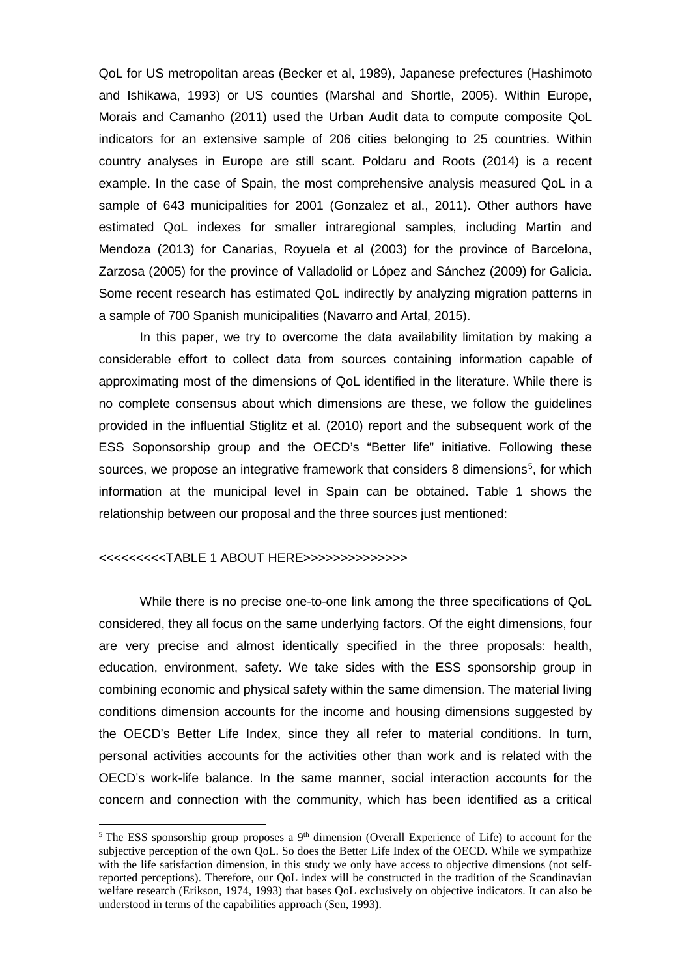QoL for US metropolitan areas (Becker et al, 1989), Japanese prefectures (Hashimoto and Ishikawa, 1993) or US counties (Marshal and Shortle, 2005). Within Europe, Morais and Camanho (2011) used the Urban Audit data to compute composite QoL indicators for an extensive sample of 206 cities belonging to 25 countries. Within country analyses in Europe are still scant. Poldaru and Roots (2014) is a recent example. In the case of Spain, the most comprehensive analysis measured QoL in a sample of 643 municipalities for 2001 (Gonzalez et al., 2011). Other authors have estimated QoL indexes for smaller intraregional samples, including Martin and Mendoza (2013) for Canarias, Royuela et al (2003) for the province of Barcelona, Zarzosa (2005) for the province of Valladolid or López and Sánchez (2009) for Galicia. Some recent research has estimated QoL indirectly by analyzing migration patterns in a sample of 700 Spanish municipalities (Navarro and Artal, 2015).

In this paper, we try to overcome the data availability limitation by making a considerable effort to collect data from sources containing information capable of approximating most of the dimensions of QoL identified in the literature. While there is no complete consensus about which dimensions are these, we follow the guidelines provided in the influential Stiglitz et al. (2010) report and the subsequent work of the ESS Soponsorship group and the OECD's "Better life" initiative. Following these sources, we propose an integrative framework that considers 8 dimensions<sup>[5](#page-5-0)</sup>, for which information at the municipal level in Spain can be obtained. Table 1 shows the relationship between our proposal and the three sources just mentioned:

## <<<<<<<<<TABLE 1 ABOUT HERE>>>>>>>>>>>>>>

While there is no precise one-to-one link among the three specifications of QoL considered, they all focus on the same underlying factors. Of the eight dimensions, four are very precise and almost identically specified in the three proposals: health, education, environment, safety. We take sides with the ESS sponsorship group in combining economic and physical safety within the same dimension. The material living conditions dimension accounts for the income and housing dimensions suggested by the OECD's Better Life Index, since they all refer to material conditions. In turn, personal activities accounts for the activities other than work and is related with the OECD's work-life balance. In the same manner, social interaction accounts for the concern and connection with the community, which has been identified as a critical

<span id="page-5-0"></span><sup>&</sup>lt;sup>5</sup> The ESS sponsorship group proposes a 9<sup>th</sup> dimension (Overall Experience of Life) to account for the subjective perception of the own QoL. So does the Better Life Index of the OECD. While we sympathize with the life satisfaction dimension, in this study we only have access to objective dimensions (not selfreported perceptions). Therefore, our QoL index will be constructed in the tradition of the Scandinavian welfare research (Erikson, 1974, 1993) that bases QoL exclusively on objective indicators. It can also be understood in terms of the capabilities approach (Sen, 1993).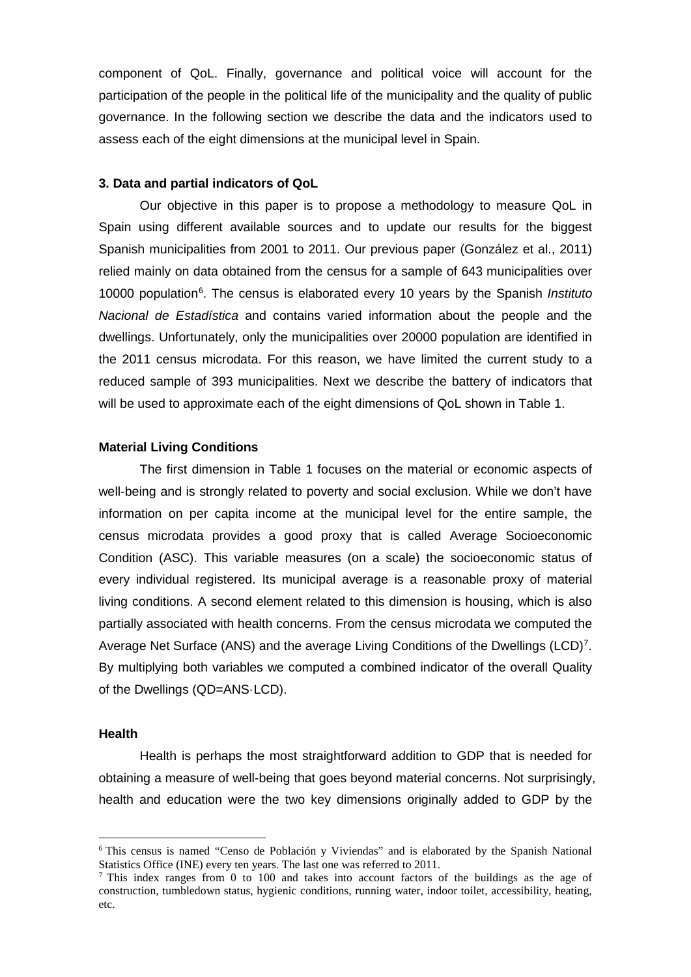component of QoL. Finally, governance and political voice will account for the participation of the people in the political life of the municipality and the quality of public governance. In the following section we describe the data and the indicators used to assess each of the eight dimensions at the municipal level in Spain.

## **3. Data and partial indicators of QoL**

Our objective in this paper is to propose a methodology to measure QoL in Spain using different available sources and to update our results for the biggest Spanish municipalities from 2001 to 2011. Our previous paper (González et al., 2011) relied mainly on data obtained from the census for a sample of 643 municipalities over 10000 population<sup>[6](#page-6-0)</sup>. The census is elaborated every 10 years by the Spanish *Instituto Nacional de Estadística* and contains varied information about the people and the dwellings. Unfortunately, only the municipalities over 20000 population are identified in the 2011 census microdata. For this reason, we have limited the current study to a reduced sample of 393 municipalities. Next we describe the battery of indicators that will be used to approximate each of the eight dimensions of QoL shown in Table 1.

## **Material Living Conditions**

The first dimension in Table 1 focuses on the material or economic aspects of well-being and is strongly related to poverty and social exclusion. While we don't have information on per capita income at the municipal level for the entire sample, the census microdata provides a good proxy that is called Average Socioeconomic Condition (ASC). This variable measures (on a scale) the socioeconomic status of every individual registered. Its municipal average is a reasonable proxy of material living conditions. A second element related to this dimension is housing, which is also partially associated with health concerns. From the census microdata we computed the Average Net Surface (ANS) and the average Living Conditions of the Dwellings (LCD)<sup>[7](#page-6-1)</sup>. By multiplying both variables we computed a combined indicator of the overall Quality of the Dwellings (QD=ANS·LCD).

#### **Health**

Health is perhaps the most straightforward addition to GDP that is needed for obtaining a measure of well-being that goes beyond material concerns. Not surprisingly, health and education were the two key dimensions originally added to GDP by the

<span id="page-6-0"></span> <sup>6</sup> This census is named "Censo de Población y Viviendas" and is elaborated by the Spanish National Statistics Office (INE) every ten years. The last one was referred to 2011.<br>
<sup>7</sup> This index ranges from 0 to 100 and takes into account factors of the buildings as the age of

<span id="page-6-1"></span>construction, tumbledown status, hygienic conditions, running water, indoor toilet, accessibility, heating, etc.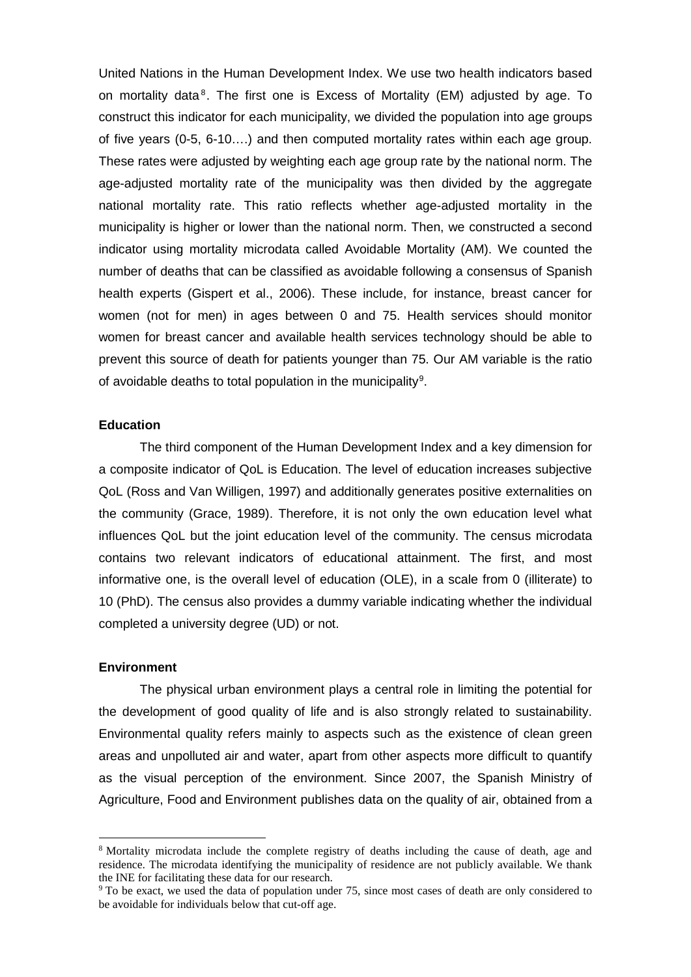United Nations in the Human Development Index. We use two health indicators based on mortality data<sup>[8](#page-7-0)</sup>. The first one is Excess of Mortality (EM) adjusted by age. To construct this indicator for each municipality, we divided the population into age groups of five years (0-5, 6-10….) and then computed mortality rates within each age group. These rates were adjusted by weighting each age group rate by the national norm. The age-adjusted mortality rate of the municipality was then divided by the aggregate national mortality rate. This ratio reflects whether age-adjusted mortality in the municipality is higher or lower than the national norm. Then, we constructed a second indicator using mortality microdata called Avoidable Mortality (AM). We counted the number of deaths that can be classified as avoidable following a consensus of Spanish health experts (Gispert et al., 2006). These include, for instance, breast cancer for women (not for men) in ages between 0 and 75. Health services should monitor women for breast cancer and available health services technology should be able to prevent this source of death for patients younger than 75. Our AM variable is the ratio of avoidable deaths to total population in the municipality<sup>[9](#page-7-1)</sup>.

## **Education**

The third component of the Human Development Index and a key dimension for a composite indicator of QoL is Education. The level of education increases subjective QoL (Ross and Van Willigen, 1997) and additionally generates positive externalities on the community (Grace, 1989). Therefore, it is not only the own education level what influences QoL but the joint education level of the community. The census microdata contains two relevant indicators of educational attainment. The first, and most informative one, is the overall level of education (OLE), in a scale from 0 (illiterate) to 10 (PhD). The census also provides a dummy variable indicating whether the individual completed a university degree (UD) or not.

#### **Environment**

The physical urban environment plays a central role in limiting the potential for the development of good quality of life and is also strongly related to sustainability. Environmental quality refers mainly to aspects such as the existence of clean green areas and unpolluted air and water, apart from other aspects more difficult to quantify as the visual perception of the environment. Since 2007, the Spanish Ministry of Agriculture, Food and Environment publishes data on the quality of air, obtained from a

<span id="page-7-0"></span> <sup>8</sup> Mortality microdata include the complete registry of deaths including the cause of death, age and residence. The microdata identifying the municipality of residence are not publicly available. We thank the INE for facilitating these data for our research.

<span id="page-7-1"></span><sup>&</sup>lt;sup>9</sup> To be exact, we used the data of population under 75, since most cases of death are only considered to be avoidable for individuals below that cut-off age.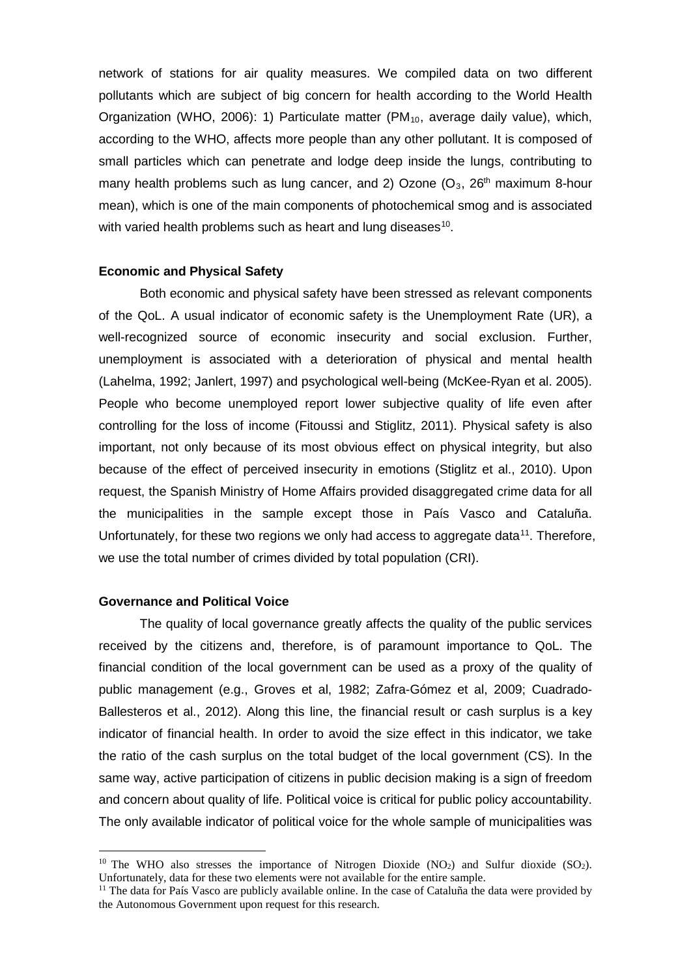network of stations for air quality measures. We compiled data on two different pollutants which are subject of big concern for health according to the World Health Organization (WHO, 2006): 1) Particulate matter  $(PM_{10}$ , average daily value), which, according to the WHO, affects more people than any other pollutant. It is composed of small particles which can penetrate and lodge deep inside the lungs, contributing to many health problems such as lung cancer, and 2) Ozone  $(O_3, 26<sup>th</sup>$  maximum 8-hour mean), which is one of the main components of photochemical smog and is associated with varied health problems such as heart and lung diseases<sup>10</sup>.

## **Economic and Physical Safety**

Both economic and physical safety have been stressed as relevant components of the QoL. A usual indicator of economic safety is the Unemployment Rate (UR), a well-recognized source of economic insecurity and social exclusion. Further, unemployment is associated with a deterioration of physical and mental health (Lahelma, 1992; Janlert, 1997) and psychological well-being (McKee-Ryan et al. 2005). People who become unemployed report lower subjective quality of life even after controlling for the loss of income (Fitoussi and Stiglitz, 2011). Physical safety is also important, not only because of its most obvious effect on physical integrity, but also because of the effect of perceived insecurity in emotions (Stiglitz et al., 2010). Upon request, the Spanish Ministry of Home Affairs provided disaggregated crime data for all the municipalities in the sample except those in País Vasco and Cataluña. Unfortunately, for these two regions we only had access to aggregate data<sup>[11](#page-8-1)</sup>. Therefore, we use the total number of crimes divided by total population (CRI).

#### **Governance and Political Voice**

The quality of local governance greatly affects the quality of the public services received by the citizens and, therefore, is of paramount importance to QoL. The financial condition of the local government can be used as a proxy of the quality of public management (e.g., Groves et al, 1982; Zafra-Gómez et al, 2009; Cuadrado-Ballesteros et al., 2012). Along this line, the financial result or cash surplus is a key indicator of financial health. In order to avoid the size effect in this indicator, we take the ratio of the cash surplus on the total budget of the local government (CS). In the same way, active participation of citizens in public decision making is a sign of freedom and concern about quality of life. Political voice is critical for public policy accountability. The only available indicator of political voice for the whole sample of municipalities was

<span id="page-8-0"></span><sup>&</sup>lt;sup>10</sup> The WHO also stresses the importance of Nitrogen Dioxide (NO<sub>2</sub>) and Sulfur dioxide (SO<sub>2</sub>). Unfortunately, data for these two elements were not available for the entire sample.

<span id="page-8-1"></span><sup>&</sup>lt;sup>11</sup> The data for País Vasco are publicly available online. In the case of Cataluña the data were provided by the Autonomous Government upon request for this research.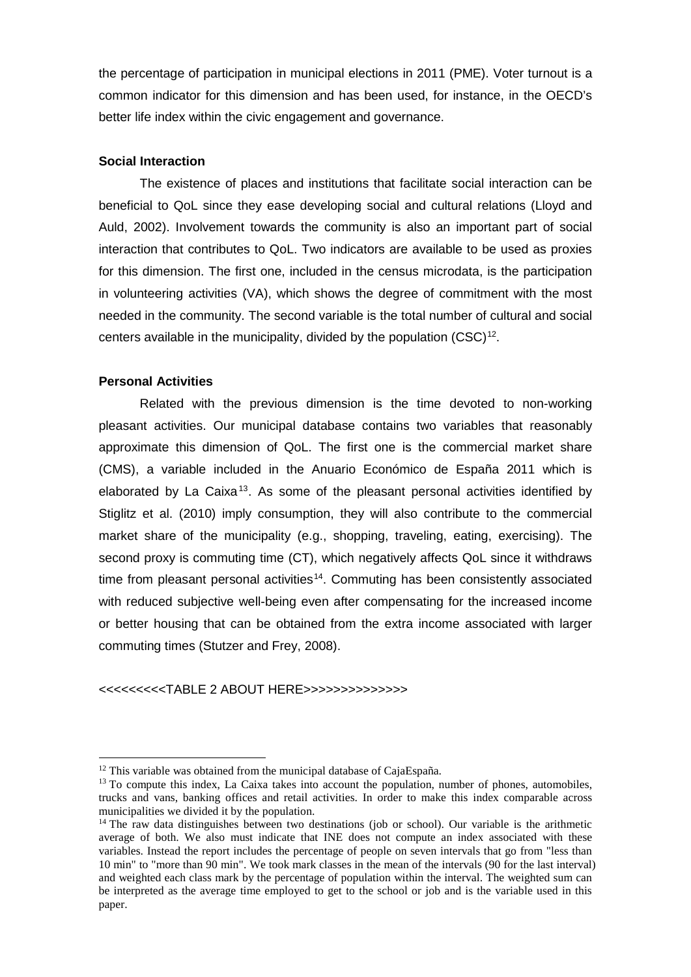the percentage of participation in municipal elections in 2011 (PME). Voter turnout is a common indicator for this dimension and has been used, for instance, in the OECD's better life index within the civic engagement and governance.

## **Social Interaction**

The existence of places and institutions that facilitate social interaction can be beneficial to QoL since they ease developing social and cultural relations (Lloyd and Auld, 2002). Involvement towards the community is also an important part of social interaction that contributes to QoL. Two indicators are available to be used as proxies for this dimension. The first one, included in the census microdata, is the participation in volunteering activities (VA), which shows the degree of commitment with the most needed in the community. The second variable is the total number of cultural and social centers available in the municipality, divided by the population  $(CSC)^{12}$ .

## **Personal Activities**

Related with the previous dimension is the time devoted to non-working pleasant activities. Our municipal database contains two variables that reasonably approximate this dimension of QoL. The first one is the commercial market share (CMS), a variable included in the Anuario Económico de España 2011 which is elaborated by La Caixa<sup>[13](#page-9-1)</sup>. As some of the pleasant personal activities identified by Stiglitz et al. (2010) imply consumption, they will also contribute to the commercial market share of the municipality (e.g., shopping, traveling, eating, exercising). The second proxy is commuting time (CT), which negatively affects QoL since it withdraws time from pleasant personal activities<sup>[14](#page-9-2)</sup>. Commuting has been consistently associated with reduced subjective well-being even after compensating for the increased income or better housing that can be obtained from the extra income associated with larger commuting times (Stutzer and Frey, 2008).

## <<<<<<<TABLE 2 ABOUT HERE>>>>>>>>>>>>>>>>>

 $12$  This variable was obtained from the municipal database of CajaEspaña.

<span id="page-9-1"></span><span id="page-9-0"></span> $13$  To compute this index, La Caixa takes into account the population, number of phones, automobiles, trucks and vans, banking offices and retail activities. In order to make this index comparable across municipalities we divided it by the population.

<span id="page-9-2"></span> $14$  The raw data distinguishes between two destinations (job or school). Our variable is the arithmetic average of both. We also must indicate that INE does not compute an index associated with these variables. Instead the report includes the percentage of people on seven intervals that go from "less than 10 min" to "more than 90 min". We took mark classes in the mean of the intervals (90 for the last interval) and weighted each class mark by the percentage of population within the interval. The weighted sum can be interpreted as the average time employed to get to the school or job and is the variable used in this paper.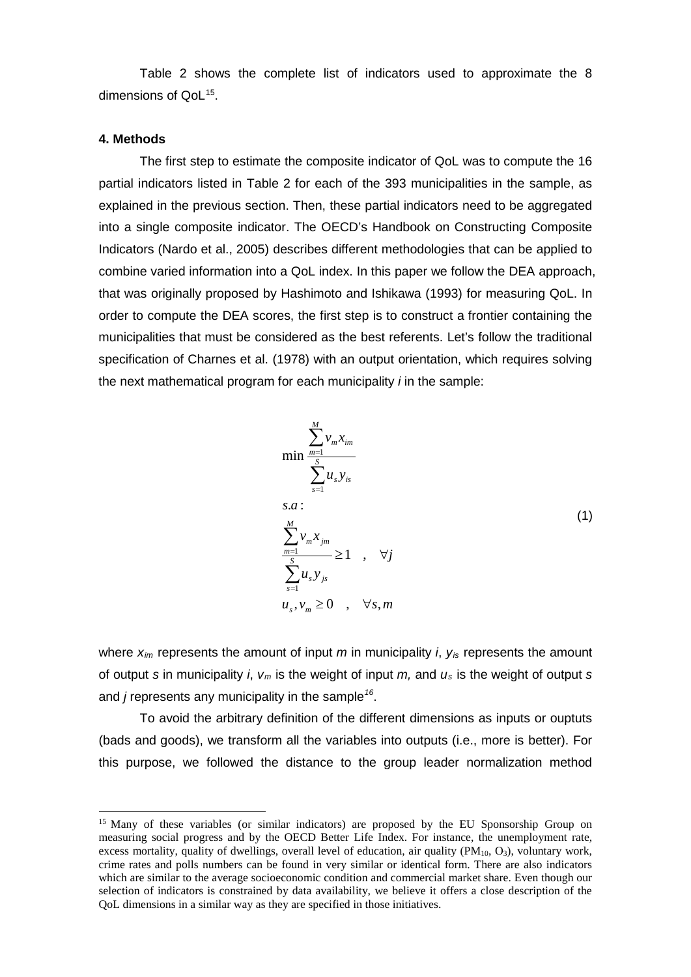Table 2 shows the complete list of indicators used to approximate the 8 dimensions of QoL<sup>[15](#page-10-0)</sup>.

## **4. Methods**

The first step to estimate the composite indicator of QoL was to compute the 16 partial indicators listed in Table 2 for each of the 393 municipalities in the sample, as explained in the previous section. Then, these partial indicators need to be aggregated into a single composite indicator. The OECD's Handbook on Constructing Composite Indicators (Nardo et al., 2005) describes different methodologies that can be applied to combine varied information into a QoL index. In this paper we follow the DEA approach, that was originally proposed by Hashimoto and Ishikawa (1993) for measuring QoL. In order to compute the DEA scores, the first step is to construct a frontier containing the municipalities that must be considered as the best referents. Let's follow the traditional specification of Charnes et al. (1978) with an output orientation, which requires solving the next mathematical program for each municipality *i* in the sample:

$$
\sum_{m=1}^{M} v_m x_{im}
$$
\n
$$
\sum_{s=1}^{m=1} u_s y_{is}
$$
\n
$$
s.a:
$$
\n
$$
\sum_{m=1}^{M} v_m x_{jm}
$$
\n
$$
\sum_{s=1}^{S} u_s y_{js}
$$
\n
$$
u_s, v_m \ge 0 \quad , \quad \forall s, m
$$
\n(1)

where *xim* represents the amount of input *m* in municipality *i*, *yis* represents the amount of output *s* in municipality *i*, *vm* is the weight of input *m,* and *us* is the weight of output *s* and *j* represents any municipality in the sample*[16](#page-10-1)*.

To avoid the arbitrary definition of the different dimensions as inputs or ouptuts (bads and goods), we transform all the variables into outputs (i.e., more is better). For this purpose, we followed the distance to the group leader normalization method

<span id="page-10-1"></span><span id="page-10-0"></span><sup>&</sup>lt;sup>15</sup> Many of these variables (or similar indicators) are proposed by the EU Sponsorship Group on measuring social progress and by the OECD Better Life Index. For instance, the unemployment rate, excess mortality, quality of dwellings, overall level of education, air quality  $(PM_{10}, O_3)$ , voluntary work, crime rates and polls numbers can be found in very similar or identical form. There are also indicators which are similar to the average socioeconomic condition and commercial market share. Even though our selection of indicators is constrained by data availability, we believe it offers a close description of the QoL dimensions in a similar way as they are specified in those initiatives.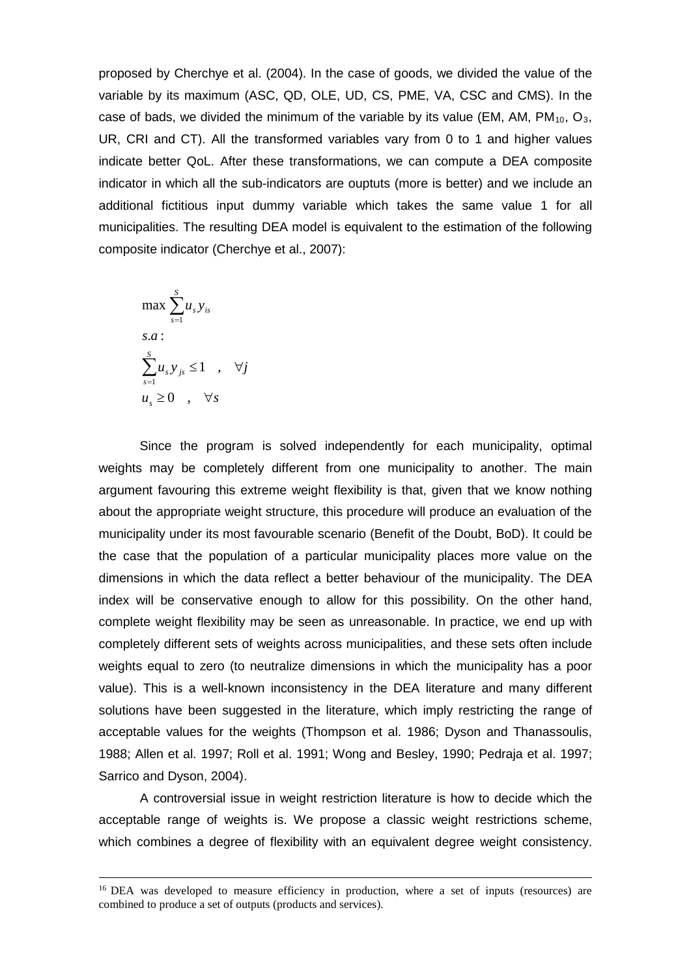proposed by Cherchye et al. (2004). In the case of goods, we divided the value of the variable by its maximum (ASC, QD, OLE, UD, CS, PME, VA, CSC and CMS). In the case of bads, we divided the minimum of the variable by its value (EM, AM,  $PM_{10}$ , O<sub>3</sub>, UR, CRI and CT). All the transformed variables vary from 0 to 1 and higher values indicate better QoL. After these transformations, we can compute a DEA composite indicator in which all the sub-indicators are ouptuts (more is better) and we include an additional fictitious input dummy variable which takes the same value 1 for all municipalities. The resulting DEA model is equivalent to the estimation of the following composite indicator (Cherchye et al., 2007):

$$
\max \sum_{s=1}^{S} u_s y_{is}
$$
  
s.a:  

$$
\sum_{s=1}^{S} u_s y_{js} \le 1 \quad , \quad \forall j
$$
  

$$
u_s \ge 0 \quad , \quad \forall s
$$

Since the program is solved independently for each municipality, optimal weights may be completely different from one municipality to another. The main argument favouring this extreme weight flexibility is that, given that we know nothing about the appropriate weight structure, this procedure will produce an evaluation of the municipality under its most favourable scenario (Benefit of the Doubt, BoD). It could be the case that the population of a particular municipality places more value on the dimensions in which the data reflect a better behaviour of the municipality. The DEA index will be conservative enough to allow for this possibility. On the other hand, complete weight flexibility may be seen as unreasonable. In practice, we end up with completely different sets of weights across municipalities, and these sets often include weights equal to zero (to neutralize dimensions in which the municipality has a poor value). This is a well-known inconsistency in the DEA literature and many different solutions have been suggested in the literature, which imply restricting the range of acceptable values for the weights (Thompson et al. 1986; Dyson and Thanassoulis, 1988; Allen et al. 1997; Roll et al. 1991; Wong and Besley, 1990; Pedraja et al. 1997; Sarrico and Dyson, 2004).

A controversial issue in weight restriction literature is how to decide which the acceptable range of weights is. We propose a classic weight restrictions scheme, which combines a degree of flexibility with an equivalent degree weight consistency.

<sup>&</sup>lt;sup>16</sup> DEA was developed to measure efficiency in production, where a set of inputs (resources) are combined to produce a set of outputs (products and services).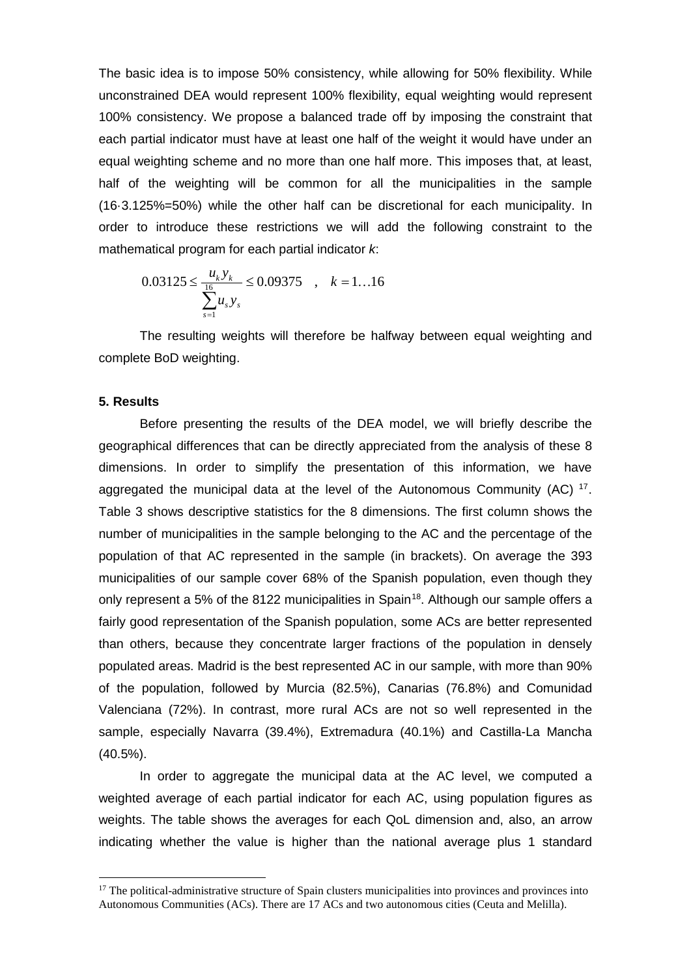The basic idea is to impose 50% consistency, while allowing for 50% flexibility. While unconstrained DEA would represent 100% flexibility, equal weighting would represent 100% consistency. We propose a balanced trade off by imposing the constraint that each partial indicator must have at least one half of the weight it would have under an equal weighting scheme and no more than one half more. This imposes that, at least, half of the weighting will be common for all the municipalities in the sample (16·3.125%=50%) while the other half can be discretional for each municipality. In order to introduce these restrictions we will add the following constraint to the mathematical program for each partial indicator *k*:

$$
0.03125 \le \frac{u_k y_k}{\sum_{s=1}^{16} u_s y_s} \le 0.09375 \quad , \quad k = 1...16
$$

The resulting weights will therefore be halfway between equal weighting and complete BoD weighting.

#### **5. Results**

Before presenting the results of the DEA model, we will briefly describe the geographical differences that can be directly appreciated from the analysis of these 8 dimensions. In order to simplify the presentation of this information, we have aggregated the municipal data at the level of the Autonomous Community (AC) <sup>[17](#page-12-0)</sup>. Table 3 shows descriptive statistics for the 8 dimensions. The first column shows the number of municipalities in the sample belonging to the AC and the percentage of the population of that AC represented in the sample (in brackets). On average the 393 municipalities of our sample cover 68% of the Spanish population, even though they only represent a 5% of the 8122 municipalities in Spain<sup>18</sup>. Although our sample offers a fairly good representation of the Spanish population, some ACs are better represented than others, because they concentrate larger fractions of the population in densely populated areas. Madrid is the best represented AC in our sample, with more than 90% of the population, followed by Murcia (82.5%), Canarias (76.8%) and Comunidad Valenciana (72%). In contrast, more rural ACs are not so well represented in the sample, especially Navarra (39.4%), Extremadura (40.1%) and Castilla-La Mancha (40.5%).

In order to aggregate the municipal data at the AC level, we computed a weighted average of each partial indicator for each AC, using population figures as weights. The table shows the averages for each QoL dimension and, also, an arrow indicating whether the value is higher than the national average plus 1 standard

<span id="page-12-1"></span><span id="page-12-0"></span><sup>&</sup>lt;sup>17</sup> The political-administrative structure of Spain clusters municipalities into provinces and provinces into Autonomous Communities (ACs). There are 17 ACs and two autonomous cities (Ceuta and Melilla).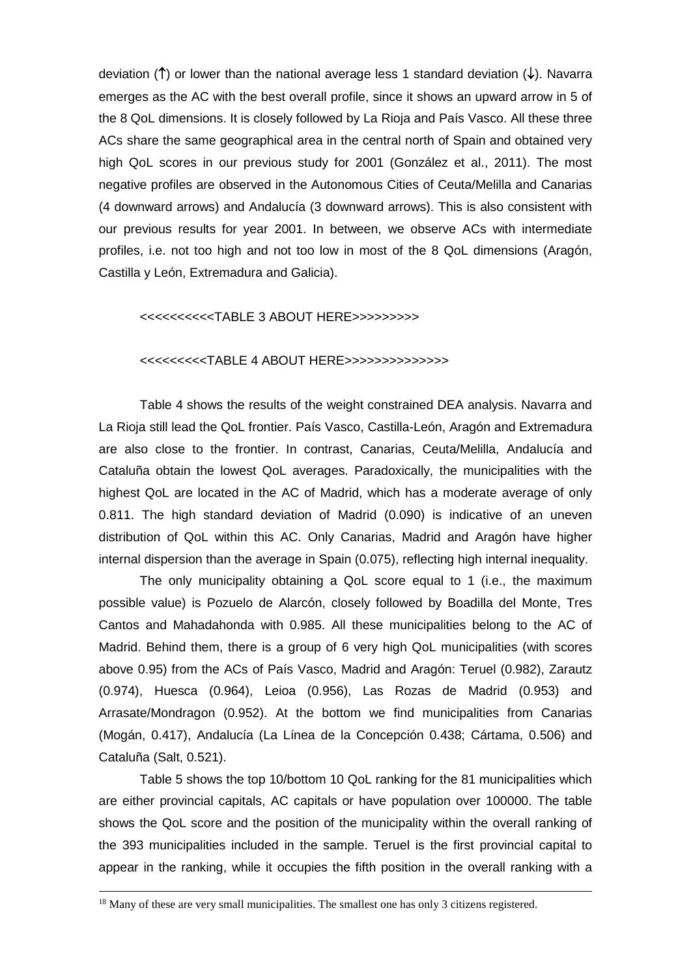deviation (↑) or lower than the national average less 1 standard deviation (↓). Navarra emerges as the AC with the best overall profile, since it shows an upward arrow in 5 of the 8 QoL dimensions. It is closely followed by La Rioja and País Vasco. All these three ACs share the same geographical area in the central north of Spain and obtained very high QoL scores in our previous study for 2001 (González et al., 2011). The most negative profiles are observed in the Autonomous Cities of Ceuta/Melilla and Canarias (4 downward arrows) and Andalucía (3 downward arrows). This is also consistent with our previous results for year 2001. In between, we observe ACs with intermediate profiles, i.e. not too high and not too low in most of the 8 QoL dimensions (Aragón, Castilla y León, Extremadura and Galicia).

#### <<<<<<<<<<TABLE 3 ABOUT HERE>>>>>>>>>

#### <<<<<<<<<TABLE 4 ABOUT HERE>>>>>>>>>>>>>>

Table 4 shows the results of the weight constrained DEA analysis. Navarra and La Rioja still lead the QoL frontier. País Vasco, Castilla-León, Aragón and Extremadura are also close to the frontier. In contrast, Canarias, Ceuta/Melilla, Andalucía and Cataluña obtain the lowest QoL averages. Paradoxically, the municipalities with the highest QoL are located in the AC of Madrid, which has a moderate average of only 0.811. The high standard deviation of Madrid (0.090) is indicative of an uneven distribution of QoL within this AC. Only Canarias, Madrid and Aragón have higher internal dispersion than the average in Spain (0.075), reflecting high internal inequality.

The only municipality obtaining a QoL score equal to 1 (i.e., the maximum possible value) is Pozuelo de Alarcón, closely followed by Boadilla del Monte, Tres Cantos and Mahadahonda with 0.985. All these municipalities belong to the AC of Madrid. Behind them, there is a group of 6 very high QoL municipalities (with scores above 0.95) from the ACs of País Vasco, Madrid and Aragón: Teruel (0.982), Zarautz (0.974), Huesca (0.964), Leioa (0.956), Las Rozas de Madrid (0.953) and Arrasate/Mondragon (0.952). At the bottom we find municipalities from Canarias (Mogán, 0.417), Andalucía (La Línea de la Concepción 0.438; Cártama, 0.506) and Cataluña (Salt, 0.521).

Table 5 shows the top 10/bottom 10 QoL ranking for the 81 municipalities which are either provincial capitals, AC capitals or have population over 100000. The table shows the QoL score and the position of the municipality within the overall ranking of the 393 municipalities included in the sample. Teruel is the first provincial capital to appear in the ranking, while it occupies the fifth position in the overall ranking with a

<sup>&</sup>lt;sup>18</sup> Many of these are very small municipalities. The smallest one has only 3 citizens registered.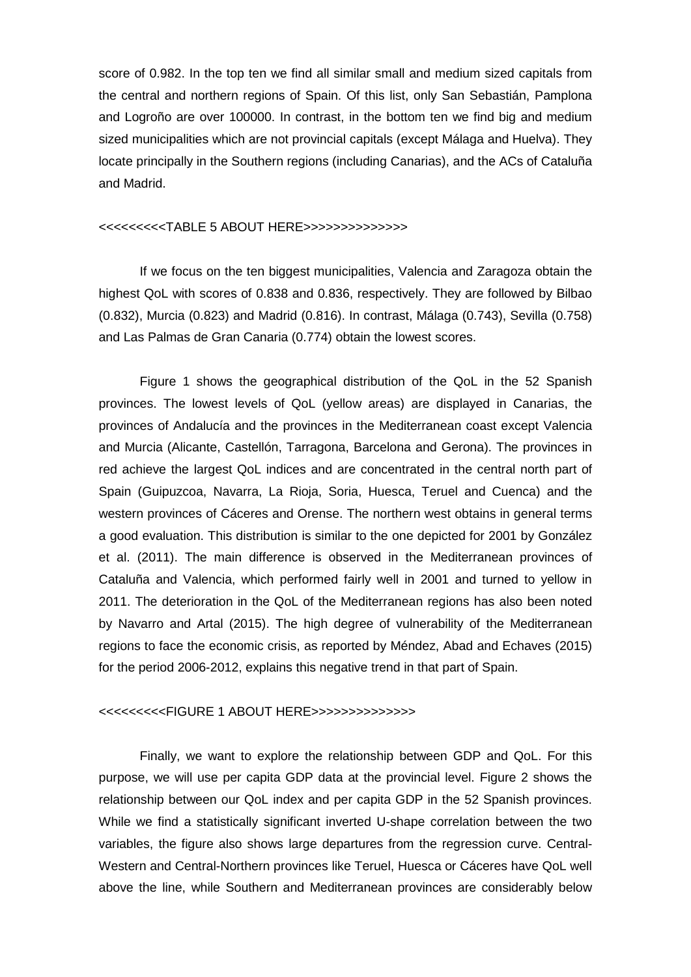score of 0.982. In the top ten we find all similar small and medium sized capitals from the central and northern regions of Spain. Of this list, only San Sebastián, Pamplona and Logroño are over 100000. In contrast, in the bottom ten we find big and medium sized municipalities which are not provincial capitals (except Málaga and Huelva). They locate principally in the Southern regions (including Canarias), and the ACs of Cataluña and Madrid.

## <<<<<<<<<TABLE 5 ABOUT HERE>>>>>>>>>>>>>>

If we focus on the ten biggest municipalities, Valencia and Zaragoza obtain the highest QoL with scores of 0.838 and 0.836, respectively. They are followed by Bilbao (0.832), Murcia (0.823) and Madrid (0.816). In contrast, Málaga (0.743), Sevilla (0.758) and Las Palmas de Gran Canaria (0.774) obtain the lowest scores.

Figure 1 shows the geographical distribution of the QoL in the 52 Spanish provinces. The lowest levels of QoL (yellow areas) are displayed in Canarias, the provinces of Andalucía and the provinces in the Mediterranean coast except Valencia and Murcia (Alicante, Castellón, Tarragona, Barcelona and Gerona). The provinces in red achieve the largest QoL indices and are concentrated in the central north part of Spain (Guipuzcoa, Navarra, La Rioja, Soria, Huesca, Teruel and Cuenca) and the western provinces of Cáceres and Orense. The northern west obtains in general terms a good evaluation. This distribution is similar to the one depicted for 2001 by González et al. (2011). The main difference is observed in the Mediterranean provinces of Cataluña and Valencia, which performed fairly well in 2001 and turned to yellow in 2011. The deterioration in the QoL of the Mediterranean regions has also been noted by Navarro and Artal (2015). The high degree of vulnerability of the Mediterranean regions to face the economic crisis, as reported by Méndez, Abad and Echaves (2015) for the period 2006-2012, explains this negative trend in that part of Spain.

#### <<<<<<<FIGURE 1 ABOUT HERE>>>>>>>>>>>>>>>>>>

Finally, we want to explore the relationship between GDP and QoL. For this purpose, we will use per capita GDP data at the provincial level. Figure 2 shows the relationship between our QoL index and per capita GDP in the 52 Spanish provinces. While we find a statistically significant inverted U-shape correlation between the two variables, the figure also shows large departures from the regression curve. Central-Western and Central-Northern provinces like Teruel, Huesca or Cáceres have QoL well above the line, while Southern and Mediterranean provinces are considerably below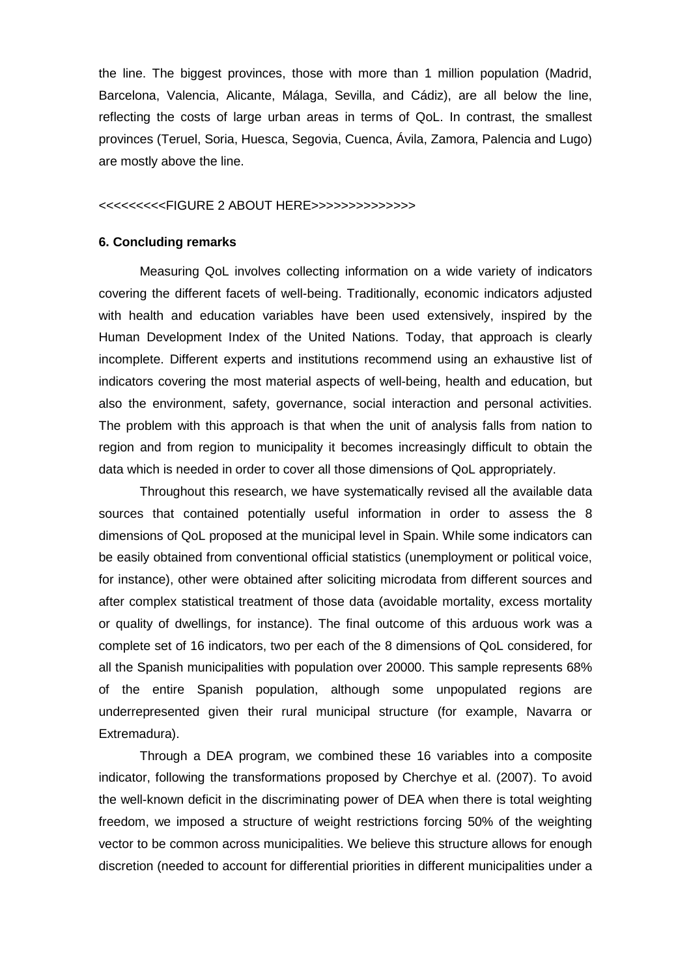the line. The biggest provinces, those with more than 1 million population (Madrid, Barcelona, Valencia, Alicante, Málaga, Sevilla, and Cádiz), are all below the line, reflecting the costs of large urban areas in terms of QoL. In contrast, the smallest provinces (Teruel, Soria, Huesca, Segovia, Cuenca, Ávila, Zamora, Palencia and Lugo) are mostly above the line.

#### <<<<<<<FIGURE 2 ABOUT HERE>>>>>>>>>>>>>>>>>

## **6. Concluding remarks**

Measuring QoL involves collecting information on a wide variety of indicators covering the different facets of well-being. Traditionally, economic indicators adjusted with health and education variables have been used extensively, inspired by the Human Development Index of the United Nations. Today, that approach is clearly incomplete. Different experts and institutions recommend using an exhaustive list of indicators covering the most material aspects of well-being, health and education, but also the environment, safety, governance, social interaction and personal activities. The problem with this approach is that when the unit of analysis falls from nation to region and from region to municipality it becomes increasingly difficult to obtain the data which is needed in order to cover all those dimensions of QoL appropriately.

Throughout this research, we have systematically revised all the available data sources that contained potentially useful information in order to assess the 8 dimensions of QoL proposed at the municipal level in Spain. While some indicators can be easily obtained from conventional official statistics (unemployment or political voice, for instance), other were obtained after soliciting microdata from different sources and after complex statistical treatment of those data (avoidable mortality, excess mortality or quality of dwellings, for instance). The final outcome of this arduous work was a complete set of 16 indicators, two per each of the 8 dimensions of QoL considered, for all the Spanish municipalities with population over 20000. This sample represents 68% of the entire Spanish population, although some unpopulated regions are underrepresented given their rural municipal structure (for example, Navarra or Extremadura).

Through a DEA program, we combined these 16 variables into a composite indicator, following the transformations proposed by Cherchye et al. (2007). To avoid the well-known deficit in the discriminating power of DEA when there is total weighting freedom, we imposed a structure of weight restrictions forcing 50% of the weighting vector to be common across municipalities. We believe this structure allows for enough discretion (needed to account for differential priorities in different municipalities under a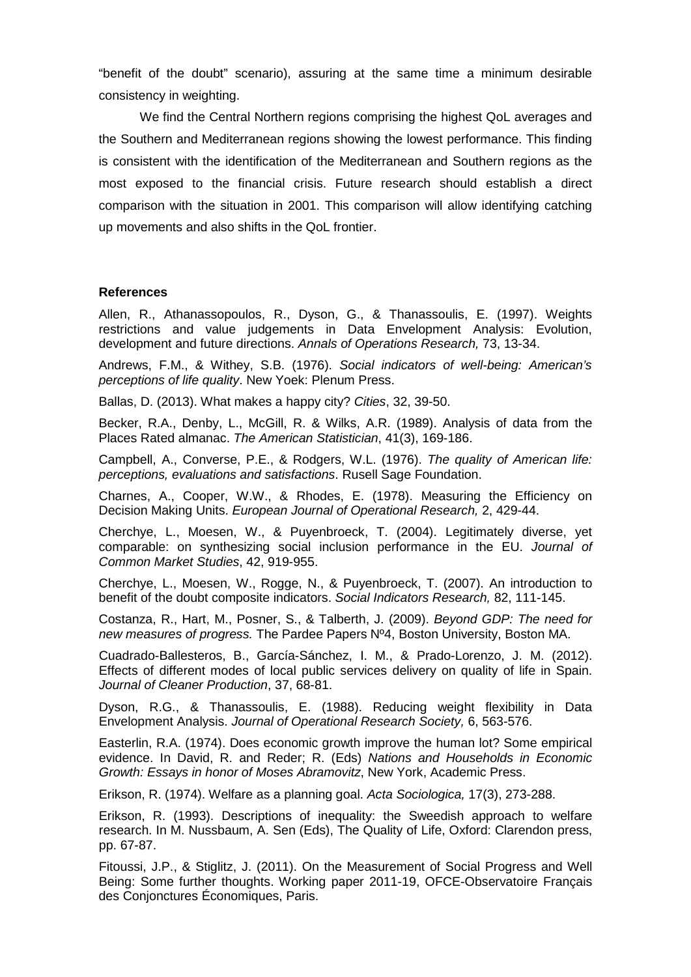"benefit of the doubt" scenario), assuring at the same time a minimum desirable consistency in weighting.

We find the Central Northern regions comprising the highest QoL averages and the Southern and Mediterranean regions showing the lowest performance. This finding is consistent with the identification of the Mediterranean and Southern regions as the most exposed to the financial crisis. Future research should establish a direct comparison with the situation in 2001. This comparison will allow identifying catching up movements and also shifts in the QoL frontier.

## **References**

Allen, R., Athanassopoulos, R., Dyson, G., & Thanassoulis, E. (1997). Weights restrictions and value judgements in Data Envelopment Analysis: Evolution, development and future directions. *Annals of Operations Research,* 73, 13-34.

Andrews, F.M., & Withey, S.B. (1976). *Social indicators of well-being: American's perceptions of life quality*. New Yoek: Plenum Press.

Ballas, D. (2013). What makes a happy city? *Cities*, 32, 39-50.

Becker, R.A., Denby, L., McGill, R. & Wilks, A.R. (1989). Analysis of data from the Places Rated almanac. *The American Statistician*, 41(3), 169-186.

Campbell, A., Converse, P.E., & Rodgers, W.L. (1976). *The quality of American life: perceptions, evaluations and satisfactions*. Rusell Sage Foundation.

Charnes, A., Cooper, W.W., & Rhodes, E. (1978). Measuring the Efficiency on Decision Making Units. *European Journal of Operational Research,* 2, 429-44.

Cherchye, L., Moesen, W., & Puyenbroeck, T. (2004). Legitimately diverse, yet comparable: on synthesizing social inclusion performance in the EU. *Journal of Common Market Studies*, 42, 919-955.

Cherchye, L., Moesen, W., Rogge, N., & Puyenbroeck, T. (2007). An introduction to benefit of the doubt composite indicators. *Social Indicators Research,* 82, 111-145.

Costanza, R., Hart, M., Posner, S., & Talberth, J. (2009). *Beyond GDP: The need for new measures of progress.* The Pardee Papers Nº4, Boston University, Boston MA.

Cuadrado-Ballesteros, B., García-Sánchez, I. M., & Prado-Lorenzo, J. M. (2012). Effects of different modes of local public services delivery on quality of life in Spain. *Journal of Cleaner Production*, 37, 68-81.

Dyson, R.G., & Thanassoulis, E. (1988). Reducing weight flexibility in Data Envelopment Analysis. *Journal of Operational Research Society,* 6, 563-576.

Easterlin, R.A. (1974). Does economic growth improve the human lot? Some empirical evidence. In David, R. and Reder; R. (Eds) *Nations and Households in Economic Growth: Essays in honor of Moses Abramovitz*, New York, Academic Press.

Erikson, R. (1974). Welfare as a planning goal. *Acta Sociologica,* 17(3), 273-288.

Erikson, R. (1993). Descriptions of inequality: the Sweedish approach to welfare research. In M. Nussbaum, A. Sen (Eds), The Quality of Life, Oxford: Clarendon press, pp. 67-87.

Fitoussi, J.P., & Stiglitz, J. (2011). On the Measurement of Social Progress and Well Being: Some further thoughts. Working paper 2011-19, OFCE-Observatoire Français des Conjonctures Économiques, Paris.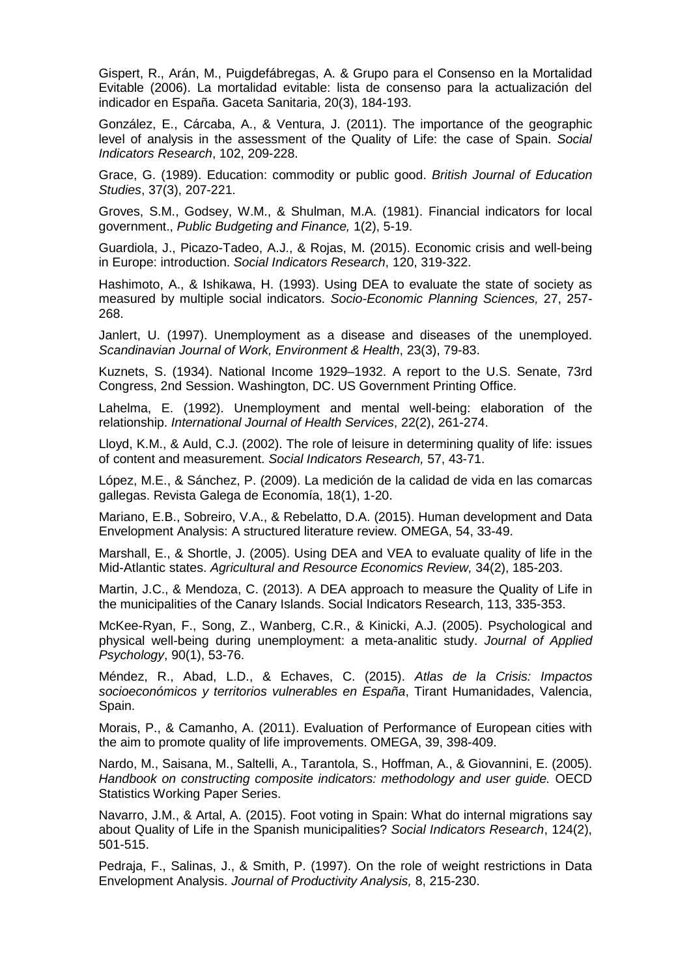Gispert, R., Arán, M., Puigdefábregas, A. & Grupo para el Consenso en la Mortalidad Evitable (2006). La mortalidad evitable: lista de consenso para la actualización del indicador en España. Gaceta Sanitaria, 20(3), 184-193.

González, E., Cárcaba, A., & Ventura, J. (2011). The importance of the geographic level of analysis in the assessment of the Quality of Life: the case of Spain. *Social Indicators Research*, 102, 209-228.

Grace, G. (1989). Education: commodity or public good. *British Journal of Education Studies*, 37(3), 207-221.

Groves, S.M., Godsey, W.M., & Shulman, M.A. (1981). Financial indicators for local government., *Public Budgeting and Finance,* 1(2), 5-19.

Guardiola, J., Picazo-Tadeo, A.J., & Rojas, M. (2015). Economic crisis and well-being in Europe: introduction. *Social Indicators Research*, 120, 319-322.

Hashimoto, A., & Ishikawa, H. (1993). Using DEA to evaluate the state of society as measured by multiple social indicators. *Socio-Economic Planning Sciences,* 27, 257- 268.

Janlert, U. (1997). Unemployment as a disease and diseases of the unemployed. *Scandinavian Journal of Work, Environment & Health*, 23(3), 79-83.

Kuznets, S. (1934). National Income 1929–1932. A report to the U.S. Senate, 73rd Congress, 2nd Session. Washington, DC. US Government Printing Office.

Lahelma, E. (1992). Unemployment and mental well-being: elaboration of the relationship. *International Journal of Health Services*, 22(2), 261-274.

Lloyd, K.M., & Auld, C.J. (2002). The role of leisure in determining quality of life: issues of content and measurement. *Social Indicators Research,* 57, 43-71.

López, M.E., & Sánchez, P. (2009). La medición de la calidad de vida en las comarcas gallegas. Revista Galega de Economía, 18(1), 1-20.

Mariano, E.B., Sobreiro, V.A., & Rebelatto, D.A. (2015). Human development and Data Envelopment Analysis: A structured literature review. OMEGA, 54, 33-49.

Marshall, E., & Shortle, J. (2005). Using DEA and VEA to evaluate quality of life in the Mid-Atlantic states. *Agricultural and Resource Economics Review,* 34(2), 185-203.

Martin, J.C., & Mendoza, C. (2013). A DEA approach to measure the Quality of Life in the municipalities of the Canary Islands. Social Indicators Research, 113, 335-353.

McKee-Ryan, F., Song, Z., Wanberg, C.R., & Kinicki, A.J. (2005). Psychological and physical well-being during unemployment: a meta-analitic study. *Journal of Applied Psychology*, 90(1), 53-76.

Méndez, R., Abad, L.D., & Echaves, C. (2015). *Atlas de la Crisis: Impactos socioeconómicos y territorios vulnerables en España*, Tirant Humanidades, Valencia, Spain.

Morais, P., & Camanho, A. (2011). Evaluation of Performance of European cities with the aim to promote quality of life improvements. OMEGA, 39, 398-409.

Nardo, M., Saisana, M., Saltelli, A., Tarantola, S., Hoffman, A., & Giovannini, E. (2005). *Handbook on constructing composite indicators: methodology and user guide.* OECD Statistics Working Paper Series.

Navarro, J.M., & Artal, A. (2015). Foot voting in Spain: What do internal migrations say about Quality of Life in the Spanish municipalities? *Social Indicators Research*, 124(2), 501-515.

Pedraja, F., Salinas, J., & Smith, P. (1997). On the role of weight restrictions in Data Envelopment Analysis. *Journal of Productivity Analysis,* 8, 215-230.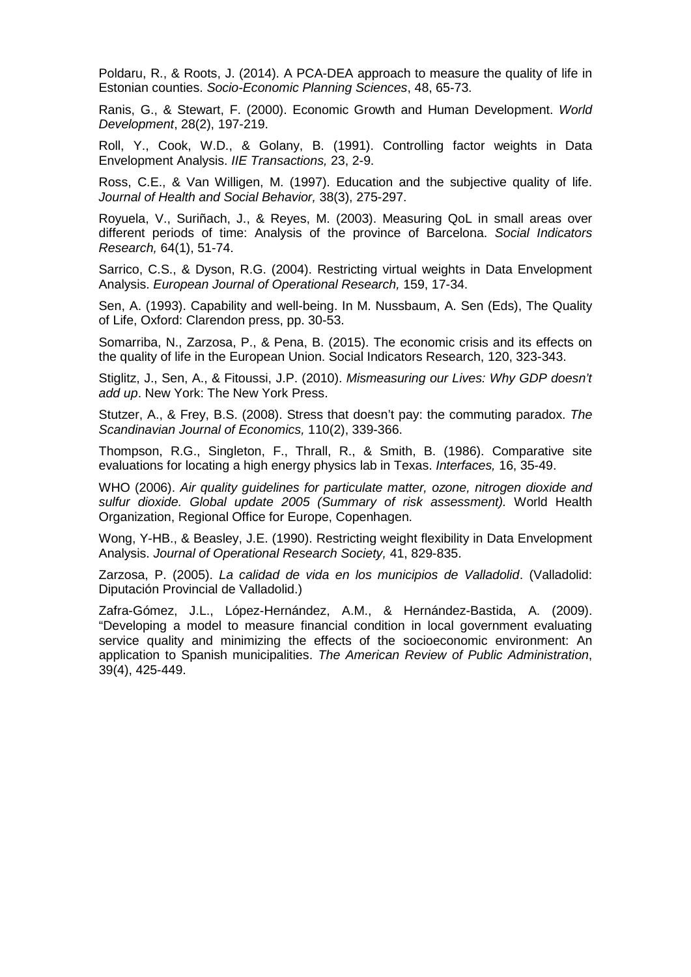Poldaru, R., & Roots, J. (2014). A PCA-DEA approach to measure the quality of life in Estonian counties. *Socio-Economic Planning Sciences*, 48, 65-73.

Ranis, G., & Stewart, F. (2000). Economic Growth and Human Development. *World Development*, 28(2), 197-219.

Roll, Y., Cook, W.D., & Golany, B. (1991). Controlling factor weights in Data Envelopment Analysis. *IIE Transactions,* 23, 2-9.

Ross, C.E., & Van Willigen, M. (1997). Education and the subjective quality of life. *Journal of Health and Social Behavior,* 38(3), 275-297.

Royuela, V., Suriñach, J., & Reyes, M. (2003). Measuring QoL in small areas over different periods of time: Analysis of the province of Barcelona. *Social Indicators Research,* 64(1), 51-74.

Sarrico, C.S., & Dyson, R.G. (2004). Restricting virtual weights in Data Envelopment Analysis. *European Journal of Operational Research,* 159, 17-34.

Sen, A. (1993). Capability and well-being. In M. Nussbaum, A. Sen (Eds), The Quality of Life, Oxford: Clarendon press, pp. 30-53.

Somarriba, N., Zarzosa, P., & Pena, B. (2015). The economic crisis and its effects on the quality of life in the European Union. Social Indicators Research, 120, 323-343.

Stiglitz, J., Sen, A., & Fitoussi, J.P. (2010). *Mismeasuring our Lives: Why GDP doesn't add up*. New York: The New York Press.

Stutzer, A., & Frey, B.S. (2008). Stress that doesn't pay: the commuting paradox. *The Scandinavian Journal of Economics,* 110(2), 339-366.

Thompson, R.G., Singleton, F., Thrall, R., & Smith, B. (1986). Comparative site evaluations for locating a high energy physics lab in Texas. *Interfaces,* 16, 35-49.

WHO (2006). *Air quality guidelines for particulate matter, ozone, nitrogen dioxide and sulfur dioxide. Global update 2005 (Summary of risk assessment).* World Health Organization, Regional Office for Europe, Copenhagen.

Wong, Y-HB., & Beasley, J.E. (1990). Restricting weight flexibility in Data Envelopment Analysis. *Journal of Operational Research Society,* 41, 829-835.

Zarzosa, P. (2005). *La calidad de vida en los municipios de Valladolid*. (Valladolid: Diputación Provincial de Valladolid.)

Zafra-Gómez, J.L., López-Hernández, A.M., & Hernández-Bastida, A. (2009). "Developing a model to measure financial condition in local government evaluating service quality and minimizing the effects of the socioeconomic environment: An application to Spanish municipalities. *The American Review of Public Administration*, 39(4), 425-449.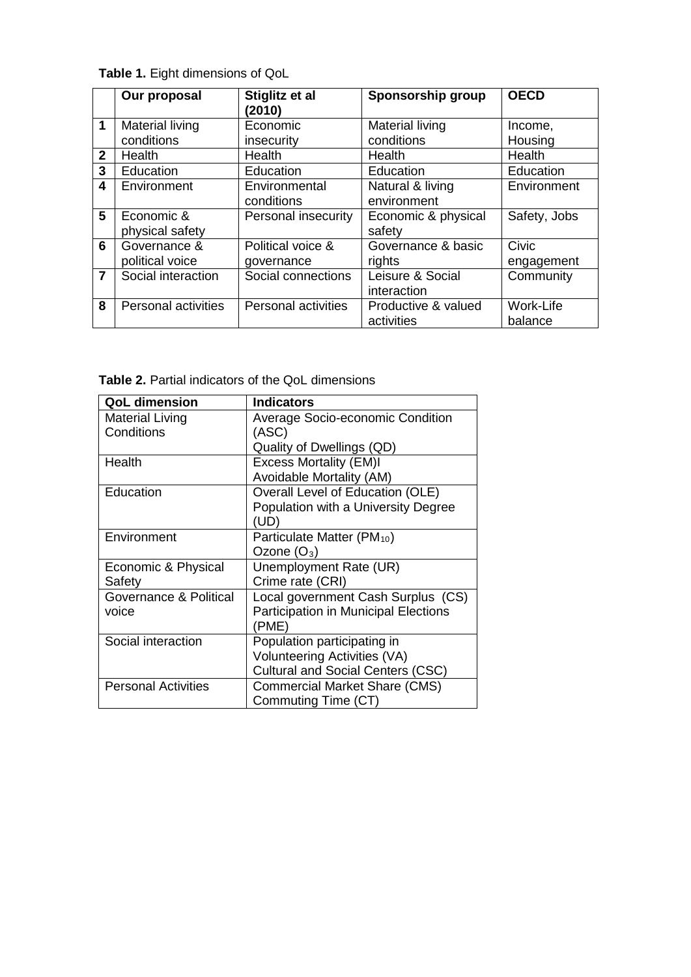|                | Our proposal               | Stiglitz et al<br>(2010)   | Sponsorship group      | <b>OECD</b>  |
|----------------|----------------------------|----------------------------|------------------------|--------------|
| 1              | <b>Material living</b>     | Economic                   | <b>Material living</b> | Income,      |
|                | conditions                 | insecurity                 | conditions             | Housing      |
| $\overline{2}$ | Health                     | <b>Health</b>              | Health                 | Health       |
| 3              | Education                  | Education                  | Education              | Education    |
| 4              | Environment                | Environmental              | Natural & living       | Environment  |
|                |                            | conditions                 | environment            |              |
| 5              | Economic &                 | Personal insecurity        | Economic & physical    | Safety, Jobs |
|                | physical safety            |                            | safety                 |              |
| 6              | Governance &               | Political voice &          | Governance & basic     | Civic        |
|                | political voice            | governance                 | rights                 | engagement   |
| $\overline{7}$ | Social interaction         | Social connections         | Leisure & Social       | Community    |
|                |                            |                            | interaction            |              |
| 8              | <b>Personal activities</b> | <b>Personal activities</b> | Productive & valued    | Work-Life    |
|                |                            |                            | activities             | balance      |

**Table 1.** Eight dimensions of QoL

**Table 2.** Partial indicators of the QoL dimensions

| <b>QoL dimension</b>       | <b>Indicators</b>                           |
|----------------------------|---------------------------------------------|
| <b>Material Living</b>     | Average Socio-economic Condition            |
| Conditions                 | (ASC)                                       |
|                            | Quality of Dwellings (QD)                   |
| Health                     | <b>Excess Mortality (EM)I</b>               |
|                            | Avoidable Mortality (AM)                    |
| Education                  | Overall Level of Education (OLE)            |
|                            | Population with a University Degree         |
|                            | (UD)                                        |
| Environment                | Particulate Matter (PM <sub>10</sub> )      |
|                            | Ozone $(O_3)$                               |
| Economic & Physical        | Unemployment Rate (UR)                      |
| Safety                     | Crime rate (CRI)                            |
| Governance & Political     | Local government Cash Surplus (CS)          |
| voice                      | <b>Participation in Municipal Elections</b> |
|                            | (PME)                                       |
| Social interaction         | Population participating in                 |
|                            | <b>Volunteering Activities (VA)</b>         |
|                            | <b>Cultural and Social Centers (CSC)</b>    |
| <b>Personal Activities</b> | <b>Commercial Market Share (CMS)</b>        |
|                            | Commuting Time (CT)                         |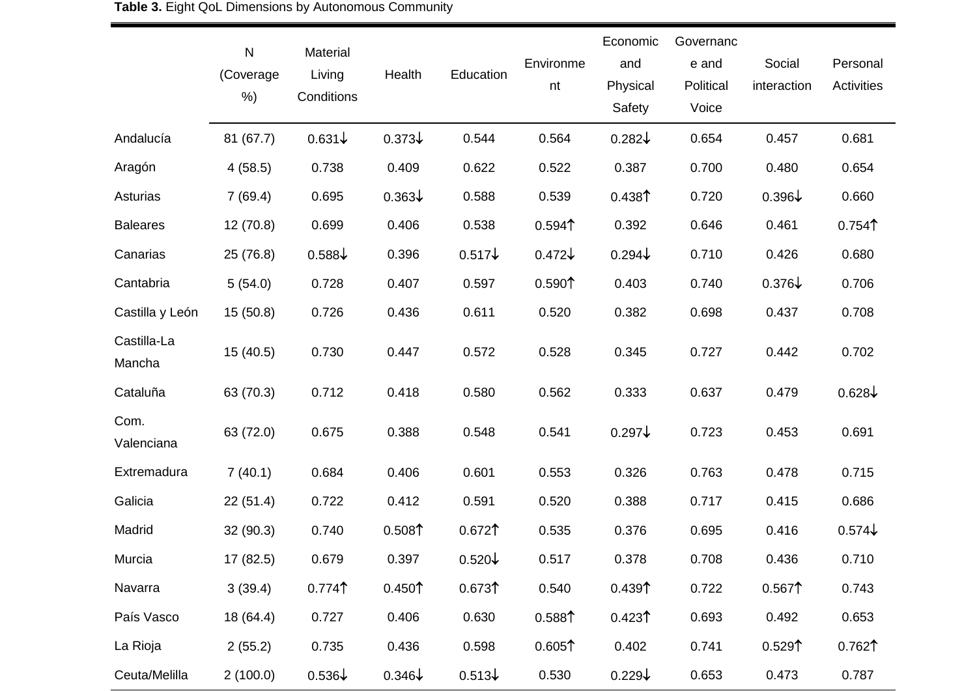|                       | $\mathsf{N}$<br>(Coverage<br>$%$ ) | Material<br>Living<br>Conditions | Health             | Education          | Environme<br>nt    | Economic<br>and<br>Physical<br>Safety | Governanc<br>e and<br>Political<br>Voice | Social<br>interaction | Personal<br>Activities |
|-----------------------|------------------------------------|----------------------------------|--------------------|--------------------|--------------------|---------------------------------------|------------------------------------------|-----------------------|------------------------|
| Andalucía             | 81 (67.7)                          | $0.631\sqrt{ }$                  | $0.373\downarrow$  | 0.544              | 0.564              | $0.282\downarrow$                     | 0.654                                    | 0.457                 | 0.681                  |
| Aragón                | 4(58.5)                            | 0.738                            | 0.409              | 0.622              | 0.522              | 0.387                                 | 0.700                                    | 0.480                 | 0.654                  |
| Asturias              | 7(69.4)                            | 0.695                            | $0.363\downarrow$  | 0.588              | 0.539              | 0.438 <sup>†</sup>                    | 0.720                                    | $0.396\downarrow$     | 0.660                  |
| <b>Baleares</b>       | 12(70.8)                           | 0.699                            | 0.406              | 0.538              | 0.594              | 0.392                                 | 0.646                                    | 0.461                 | 0.754                  |
| Canarias              | 25 (76.8)                          | $0.588\downarrow$                | 0.396              | $0.517\sqrt{ }$    | $0.472\downarrow$  | $0.294\text{V}$                       | 0.710                                    | 0.426                 | 0.680                  |
| Cantabria             | 5(54.0)                            | 0.728                            | 0.407              | 0.597              | 0.590 <sup>†</sup> | 0.403                                 | 0.740                                    | $0.376\downarrow$     | 0.706                  |
| Castilla y León       | 15(50.8)                           | 0.726                            | 0.436              | 0.611              | 0.520              | 0.382                                 | 0.698                                    | 0.437                 | 0.708                  |
| Castilla-La<br>Mancha | 15(40.5)                           | 0.730                            | 0.447              | 0.572              | 0.528              | 0.345                                 | 0.727                                    | 0.442                 | 0.702                  |
| Cataluña              | 63 (70.3)                          | 0.712                            | 0.418              | 0.580              | 0.562              | 0.333                                 | 0.637                                    | 0.479                 | $0.628\downarrow$      |
| Com.<br>Valenciana    | 63 (72.0)                          | 0.675                            | 0.388              | 0.548              | 0.541              | $0.297\downarrow$                     | 0.723                                    | 0.453                 | 0.691                  |
| Extremadura           | 7(40.1)                            | 0.684                            | 0.406              | 0.601              | 0.553              | 0.326                                 | 0.763                                    | 0.478                 | 0.715                  |
| Galicia               | 22(51.4)                           | 0.722                            | 0.412              | 0.591              | 0.520              | 0.388                                 | 0.717                                    | 0.415                 | 0.686                  |
| Madrid                | 32 (90.3)                          | 0.740                            | 0.508 <sup>†</sup> | 0.672              | 0.535              | 0.376                                 | 0.695                                    | 0.416                 | $0.574\text{V}$        |
| Murcia                | 17 (82.5)                          | 0.679                            | 0.397              | $0.520\text{V}$    | 0.517              | 0.378                                 | 0.708                                    | 0.436                 | 0.710                  |
| Navarra               | 3(39.4)                            | 0.774                            | 0.450 <sup>†</sup> | 0.673 <sup>†</sup> | 0.540              | 0.439 <sup>†</sup>                    | 0.722                                    | 0.567 <sup>†</sup>    | 0.743                  |
| País Vasco            | 18 (64.4)                          | 0.727                            | 0.406              | 0.630              | 0.588 <sup>†</sup> | $0.423$ <sup>↑</sup>                  | 0.693                                    | 0.492                 | 0.653                  |
| La Rioja              | 2(55.2)                            | 0.735                            | 0.436              | 0.598              | 0.605 <sup>†</sup> | 0.402                                 | 0.741                                    | 0.529 <sup>†</sup>    | $0.762$ ↑              |

Ceuta/Melilla 2 (100.0) 0.536↓ 0.346↓ 0.513↓ 0.530 0.229↓ 0.653 0.473 0.787

**Table 3.** Eight QoL Dimensions by Autonomous Community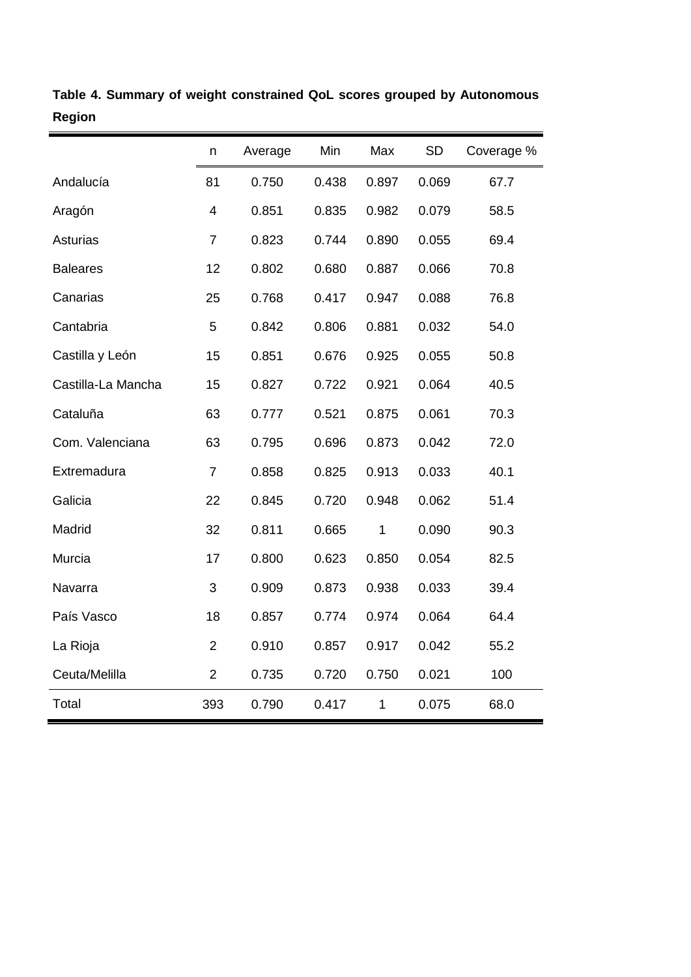|                    | n              | Average | Min   | Max          | <b>SD</b> | Coverage % |
|--------------------|----------------|---------|-------|--------------|-----------|------------|
| Andalucía          | 81             | 0.750   | 0.438 | 0.897        | 0.069     | 67.7       |
| Aragón             | 4              | 0.851   | 0.835 | 0.982        | 0.079     | 58.5       |
| Asturias           | $\overline{7}$ | 0.823   | 0.744 | 0.890        | 0.055     | 69.4       |
| <b>Baleares</b>    | 12             | 0.802   | 0.680 | 0.887        | 0.066     | 70.8       |
| Canarias           | 25             | 0.768   | 0.417 | 0.947        | 0.088     | 76.8       |
| Cantabria          | 5              | 0.842   | 0.806 | 0.881        | 0.032     | 54.0       |
| Castilla y León    | 15             | 0.851   | 0.676 | 0.925        | 0.055     | 50.8       |
| Castilla-La Mancha | 15             | 0.827   | 0.722 | 0.921        | 0.064     | 40.5       |
| Cataluña           | 63             | 0.777   | 0.521 | 0.875        | 0.061     | 70.3       |
| Com. Valenciana    | 63             | 0.795   | 0.696 | 0.873        | 0.042     | 72.0       |
| Extremadura        | $\overline{7}$ | 0.858   | 0.825 | 0.913        | 0.033     | 40.1       |
| Galicia            | 22             | 0.845   | 0.720 | 0.948        | 0.062     | 51.4       |
| Madrid             | 32             | 0.811   | 0.665 | 1            | 0.090     | 90.3       |
| Murcia             | 17             | 0.800   | 0.623 | 0.850        | 0.054     | 82.5       |
| Navarra            | 3              | 0.909   | 0.873 | 0.938        | 0.033     | 39.4       |
| País Vasco         | 18             | 0.857   | 0.774 | 0.974        | 0.064     | 64.4       |
| La Rioja           | $\mathbf{2}$   | 0.910   | 0.857 | 0.917        | 0.042     | 55.2       |
| Ceuta/Melilla      | $\overline{2}$ | 0.735   | 0.720 | 0.750        | 0.021     | 100        |
| Total              | 393            | 0.790   | 0.417 | $\mathbf{1}$ | 0.075     | 68.0       |

**Table 4. Summary of weight constrained QoL scores grouped by Autonomous Region**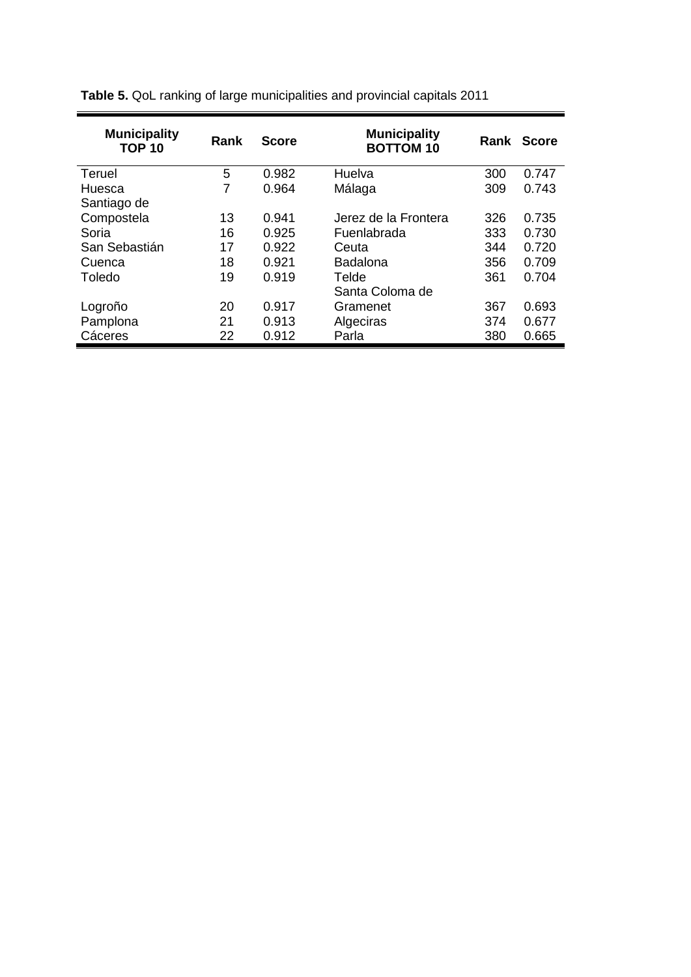| <b>Municipality</b><br><b>TOP 10</b> | <b>Rank</b> | <b>Score</b> | <b>Municipality</b><br><b>BOTTOM 10</b> |     | Rank Score |
|--------------------------------------|-------------|--------------|-----------------------------------------|-----|------------|
| Teruel                               | 5           | 0.982        | Huelva                                  | 300 | 0.747      |
| Huesca                               | 7           | 0.964        | Málaga                                  | 309 | 0.743      |
| Santiago de                          |             |              |                                         |     |            |
| Compostela                           | 13          | 0.941        | Jerez de la Frontera                    | 326 | 0.735      |
| Soria                                | 16          | 0.925        | Fuenlabrada                             | 333 | 0.730      |
| San Sebastián                        | 17          | 0.922        | Ceuta                                   | 344 | 0.720      |
| Cuenca                               | 18          | 0.921        | <b>Badalona</b>                         | 356 | 0.709      |
| Toledo                               | 19          | 0.919        | Telde                                   | 361 | 0.704      |
|                                      |             |              | Santa Coloma de                         |     |            |
| Logroño                              | 20          | 0.917        | Gramenet                                | 367 | 0.693      |
| Pamplona                             | 21          | 0.913        | Algeciras                               | 374 | 0.677      |
| Cáceres                              | 22          | 0.912        | Parla                                   | 380 | 0.665      |

**Table 5.** QoL ranking of large municipalities and provincial capitals 2011